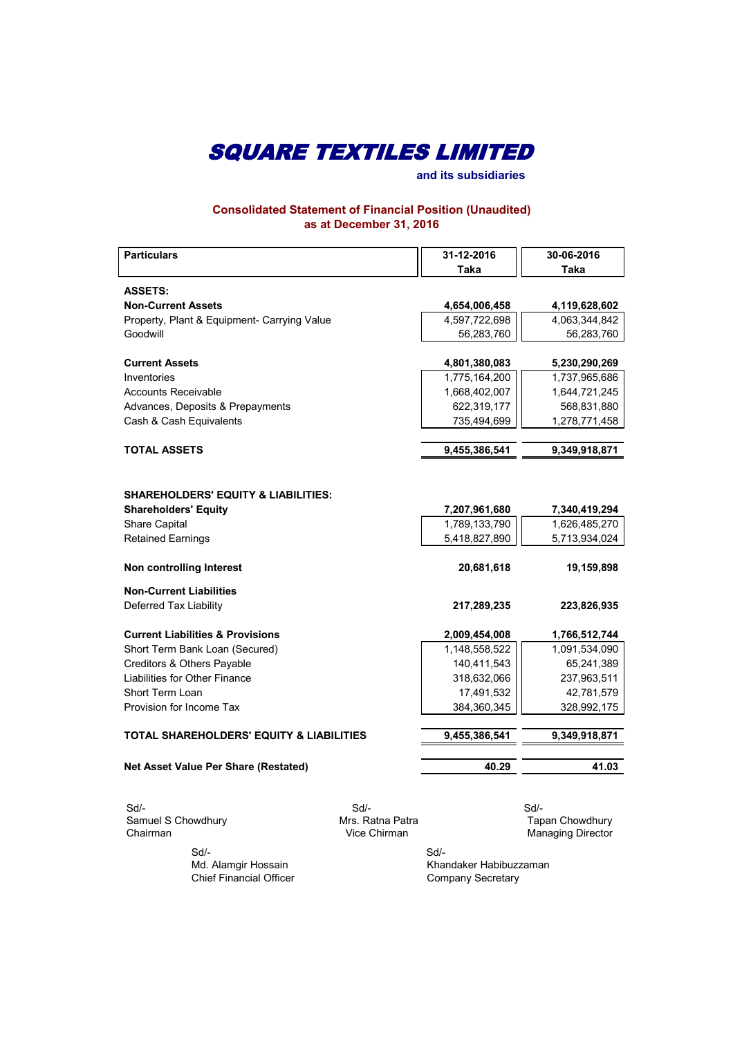**and its subsidiaries**

**Consolidated Statement of Financial Position (Unaudited) as at December 31, 2016**

| <b>Particulars</b>                                  | 31-12-2016    | 30-06-2016    |
|-----------------------------------------------------|---------------|---------------|
|                                                     | <b>Taka</b>   | Taka          |
| <b>ASSETS:</b>                                      |               |               |
| <b>Non-Current Assets</b>                           | 4,654,006,458 | 4,119,628,602 |
| Property, Plant & Equipment- Carrying Value         | 4,597,722,698 | 4,063,344,842 |
| Goodwill                                            | 56,283,760    | 56,283,760    |
|                                                     |               |               |
| <b>Current Assets</b>                               | 4,801,380,083 | 5,230,290,269 |
| Inventories                                         | 1,775,164,200 | 1,737,965,686 |
| <b>Accounts Receivable</b>                          | 1,668,402,007 | 1,644,721,245 |
| Advances, Deposits & Prepayments                    | 622,319,177   | 568,831,880   |
| Cash & Cash Equivalents                             | 735,494,699   | 1,278,771,458 |
|                                                     |               |               |
| <b>TOTAL ASSETS</b>                                 | 9,455,386,541 | 9,349,918,871 |
|                                                     |               |               |
|                                                     |               |               |
| <b>SHAREHOLDERS' EQUITY &amp; LIABILITIES:</b>      |               |               |
| <b>Shareholders' Equity</b>                         | 7,207,961,680 | 7,340,419,294 |
| Share Capital                                       | 1,789,133,790 | 1,626,485,270 |
| <b>Retained Earnings</b>                            | 5,418,827,890 | 5,713,934,024 |
| Non controlling Interest                            | 20,681,618    | 19,159,898    |
| <b>Non-Current Liabilities</b>                      |               |               |
| Deferred Tax Liability                              | 217,289,235   | 223,826,935   |
|                                                     |               |               |
| <b>Current Liabilities &amp; Provisions</b>         | 2,009,454,008 | 1,766,512,744 |
| Short Term Bank Loan (Secured)                      | 1,148,558,522 | 1,091,534,090 |
| Creditors & Others Payable                          | 140,411,543   | 65,241,389    |
| Liabilities for Other Finance                       | 318,632,066   | 237,963,511   |
| Short Term Loan                                     | 17,491,532    | 42,781,579    |
| Provision for Income Tax                            | 384,360,345   | 328,992,175   |
|                                                     |               |               |
| <b>TOTAL SHAREHOLDERS' EQUITY &amp; LIABILITIES</b> | 9,455,386,541 | 9,349,918,871 |
|                                                     |               |               |
| Net Asset Value Per Share (Restated)                | 40.29         | 41.03         |
|                                                     |               |               |

 Sd/- Sd/- Sd/- Samuel S Chowdhury **Mrs. Ratna Patra Mrs. Ratna Patra** Tapan Chowdhury Chairman **Managing Director** 

> Sd/- Md. Alamgir Hossain Chief Financial Officer

Managing Director

Khandaker Habibuzzaman Company Secretary Sd/-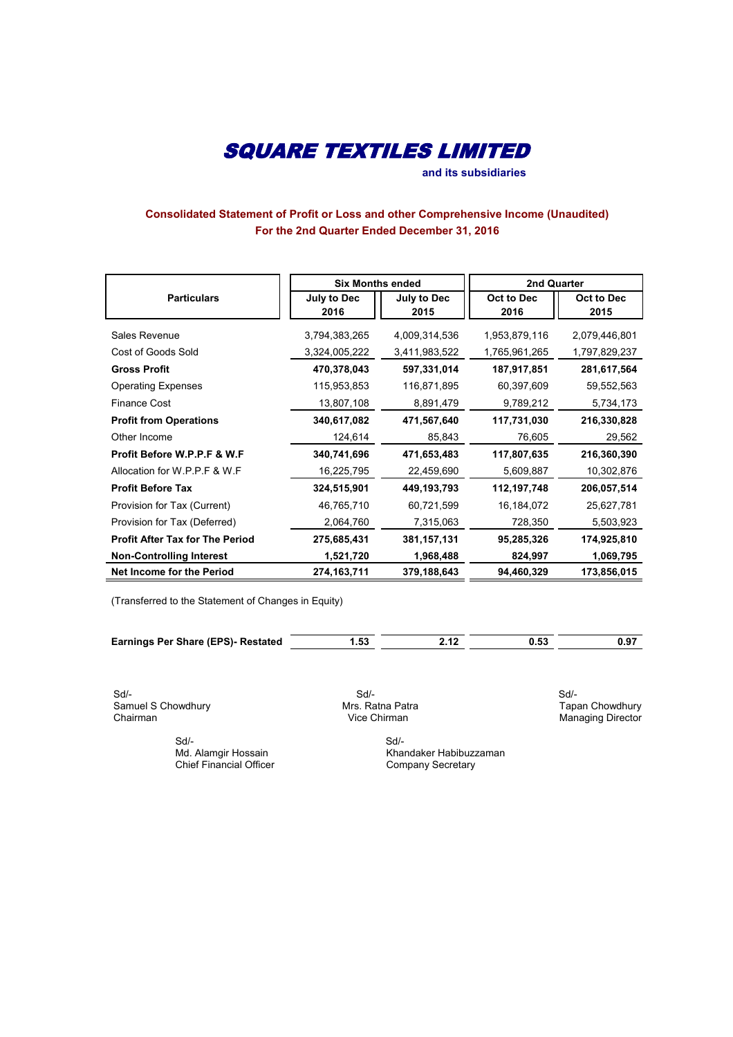**and its subsidiaries**

### **Consolidated Statement of Profit or Loss and other Comprehensive Income (Unaudited) For the 2nd Quarter Ended December 31, 2016**

|                                        | <b>Six Months ended</b>    |                     | <b>2nd Quarter</b> |                    |
|----------------------------------------|----------------------------|---------------------|--------------------|--------------------|
| <b>Particulars</b>                     | <b>July to Dec</b><br>2016 | July to Dec<br>2015 | Oct to Dec<br>2016 | Oct to Dec<br>2015 |
|                                        |                            |                     |                    |                    |
| Sales Revenue                          | 3,794,383,265              | 4,009,314,536       | 1,953,879,116      | 2,079,446,801      |
| Cost of Goods Sold                     | 3,324,005,222              | 3,411,983,522       | 1,765,961,265      | 1,797,829,237      |
| <b>Gross Profit</b>                    | 470,378,043                | 597,331,014         | 187,917,851        | 281,617,564        |
| <b>Operating Expenses</b>              | 115,953,853                | 116,871,895         | 60,397,609         | 59,552,563         |
| <b>Finance Cost</b>                    | 13,807,108                 | 8,891,479           | 9,789,212          | 5,734,173          |
| <b>Profit from Operations</b>          | 340,617,082                | 471,567,640         | 117,731,030        | 216,330,828        |
| Other Income                           | 124,614                    | 85,843              | 76,605             | 29,562             |
| Profit Before W.P.P.F & W.F            | 340,741,696                | 471,653,483         | 117,807,635        | 216,360,390        |
| Allocation for W.P.P.F & W.F           | 16,225,795                 | 22,459,690          | 5,609,887          | 10,302,876         |
| <b>Profit Before Tax</b>               | 324,515,901                | 449, 193, 793       | 112,197,748        | 206,057,514        |
| Provision for Tax (Current)            | 46,765,710                 | 60,721,599          | 16,184,072         | 25,627,781         |
| Provision for Tax (Deferred)           | 2,064,760                  | 7,315,063           | 728,350            | 5,503,923          |
| <b>Profit After Tax for The Period</b> | 275,685,431                | 381,157,131         | 95,285,326         | 174,925,810        |
| <b>Non-Controlling Interest</b>        | 1,521,720                  | 1,968,488           | 824,997            | 1,069,795          |
| <b>Net Income for the Period</b>       | 274, 163, 711              | 379,188,643         | 94,460,329         | 173,856,015        |

(Transferred to the Statement of Changes in Equity)

| <b>Earnings Per Share (EPS)- Restated</b> |  |  |
|-------------------------------------------|--|--|
|                                           |  |  |

 Sd/- Sd/- Sd/- Samuel S Chowdhury Mrs. Ratna Patra Chairman Chowdhury Mrs. Ratna Patra Chairman Chowd Chow

 Sd/- Sd/- Chief Financial Officer

**Cair**<br>Tapan Chowdhury<br>Managing Director

Md. Alamgir Hossain Md. Alamgir Hossain Chief Financial Officer Chief Financial Officer Company Secretary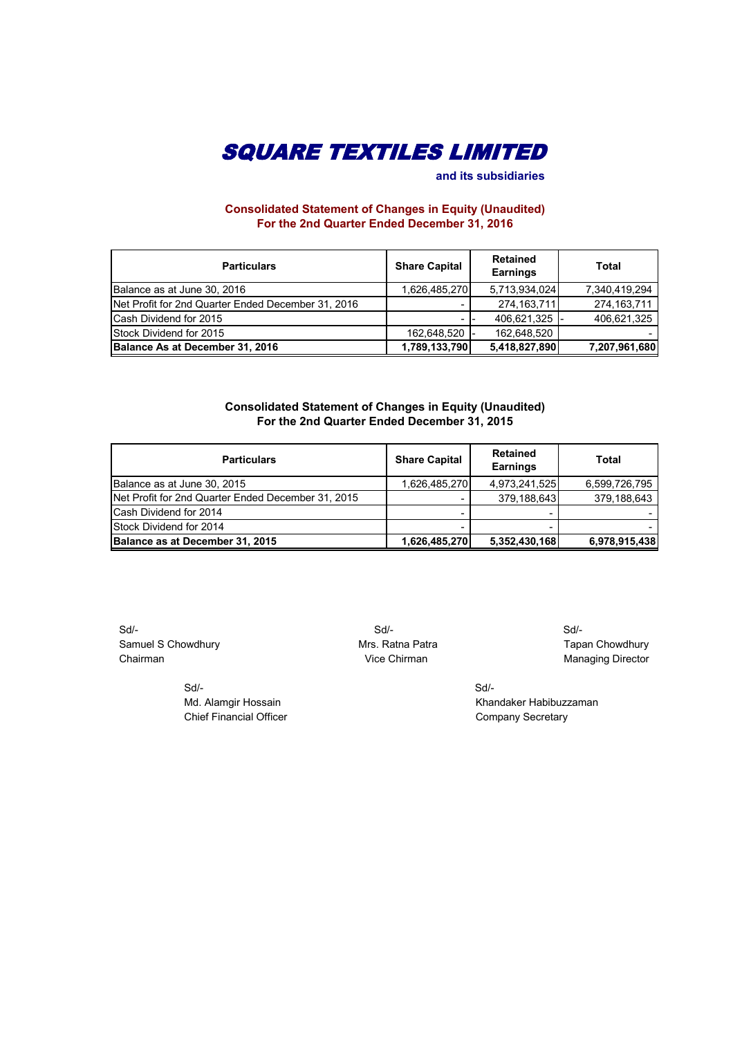

 **and its subsidiaries**

### **Consolidated Statement of Changes in Equity (Unaudited) For the 2nd Quarter Ended December 31, 2016**

| <b>Particulars</b>                                 | <b>Share Capital</b> | Retained<br><b>Earnings</b> | Total         |
|----------------------------------------------------|----------------------|-----------------------------|---------------|
| Balance as at June 30, 2016                        | 1,626,485,270        | 5,713,934,024               | 7,340,419,294 |
| Net Profit for 2nd Quarter Ended December 31, 2016 |                      | 274, 163, 711               | 274, 163, 711 |
| Cash Dividend for 2015                             | -                    | 406,621,325                 | 406,621,325   |
| Stock Dividend for 2015                            | 162,648,520 -        | 162,648,520                 |               |
| Balance As at December 31, 2016                    | 1,789,133,790        | 5,418,827,890               | 7,207,961,680 |

#### **Consolidated Statement of Changes in Equity (Unaudited) For the 2nd Quarter Ended December 31, 2015**

| <b>Particulars</b>                                 | <b>Share Capital</b> | <b>Retained</b><br><b>Earnings</b> | Total         |
|----------------------------------------------------|----------------------|------------------------------------|---------------|
| Balance as at June 30, 2015                        | 1,626,485,270        | 4,973,241,525                      | 6,599,726,795 |
| Net Profit for 2nd Quarter Ended December 31, 2015 |                      | 379,188,643                        | 379,188,643   |
| Cash Dividend for 2014                             |                      |                                    |               |
| Stock Dividend for 2014                            |                      |                                    |               |
| Balance as at December 31, 2015                    | 1,626,485,270        | 5,352,430,168                      | 6,978,915,438 |

 Sd/- Sd/- Sd/- Samuel S Chowdhury **Mrs. Ratna Patra** Mrs. Ratna Patra Tapan Chowdhury Chairman Chairman Chairman Chairman Chairman Managing Director

 Sd/- Sd/- Chief Financial Officer Chief Financial Officer Company Secretary

Md. Alamgir Hossain Khandaker Habibuzzaman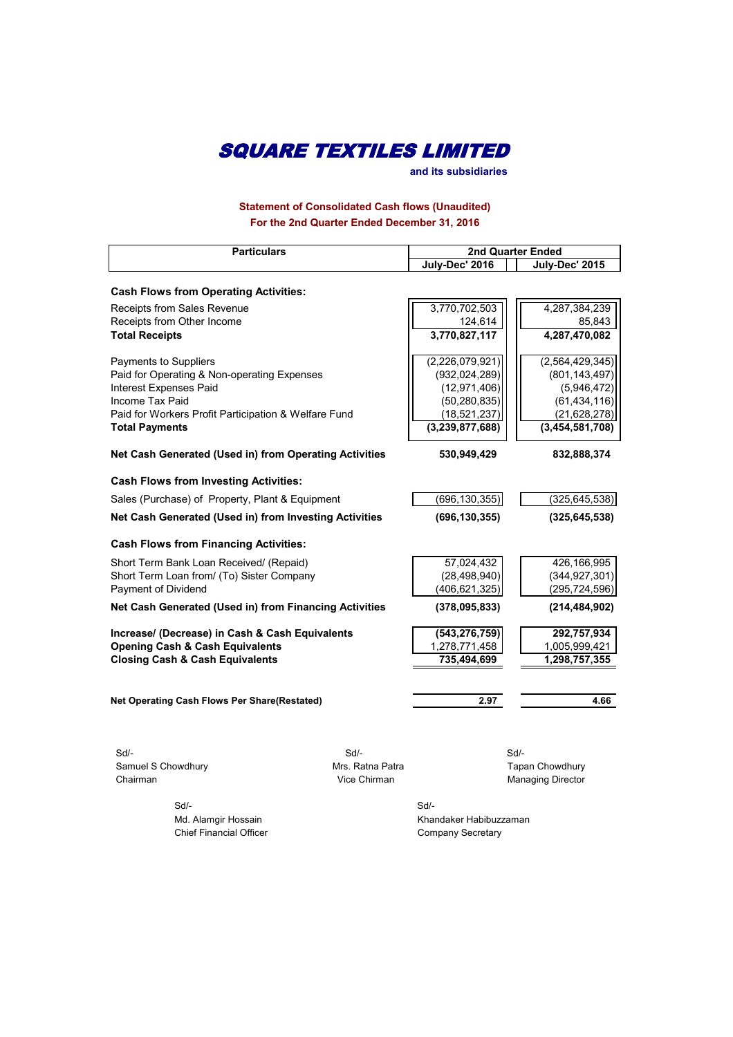**and its subsidiaries**

**Statement of Consolidated Cash flows (Unaudited) For the 2nd Quarter Ended December 31, 2016**

| <b>Particulars</b>                                     |                  | <b>2nd Quarter Ended</b> |                          |  |
|--------------------------------------------------------|------------------|--------------------------|--------------------------|--|
|                                                        |                  | July-Dec' 2016           | July-Dec' 2015           |  |
|                                                        |                  |                          |                          |  |
| <b>Cash Flows from Operating Activities:</b>           |                  |                          |                          |  |
| Receipts from Sales Revenue                            |                  | 3,770,702,503            | 4,287,384,239            |  |
| Receipts from Other Income                             |                  | 124,614                  | 85,843                   |  |
| <b>Total Receipts</b>                                  |                  | 3,770,827,117            | 4,287,470,082            |  |
| Payments to Suppliers                                  |                  | (2,226,079,921)          | (2,564,429,345)          |  |
| Paid for Operating & Non-operating Expenses            |                  | (932, 024, 289)          | (801, 143, 497)          |  |
| <b>Interest Expenses Paid</b>                          |                  | (12, 971, 406)           | (5,946,472)              |  |
| Income Tax Paid                                        |                  | (50, 280, 835)           | (61, 434, 116)           |  |
| Paid for Workers Profit Participation & Welfare Fund   |                  | (18, 521, 237)           | (21, 628, 278)           |  |
| <b>Total Payments</b>                                  |                  | (3, 239, 877, 688)       | (3,454,581,708)          |  |
| Net Cash Generated (Used in) from Operating Activities |                  | 530,949,429              | 832,888,374              |  |
| <b>Cash Flows from Investing Activities:</b>           |                  |                          |                          |  |
| Sales (Purchase) of Property, Plant & Equipment        |                  | (696, 130, 355)          | (325, 645, 538)          |  |
| Net Cash Generated (Used in) from Investing Activities |                  | (696, 130, 355)          | (325, 645, 538)          |  |
| <b>Cash Flows from Financing Activities:</b>           |                  |                          |                          |  |
| Short Term Bank Loan Received/ (Repaid)                |                  | 57,024,432               | 426,166,995              |  |
| Short Term Loan from/ (To) Sister Company              |                  | (28, 498, 940)           | (344, 927, 301)          |  |
| Payment of Dividend                                    |                  | (406, 621, 325)          | (295, 724, 596)          |  |
| Net Cash Generated (Used in) from Financing Activities |                  | (378,095,833)            | (214, 484, 902)          |  |
| Increase/ (Decrease) in Cash & Cash Equivalents        |                  | (543, 276, 759)          | 292,757,934              |  |
| <b>Opening Cash &amp; Cash Equivalents</b>             |                  | 1,278,771,458            | 1,005,999,421            |  |
| <b>Closing Cash &amp; Cash Equivalents</b>             |                  | 735,494,699              | 1,298,757,355            |  |
|                                                        |                  |                          |                          |  |
| Net Operating Cash Flows Per Share(Restated)           |                  | 2.97                     | 4.66                     |  |
|                                                        |                  |                          |                          |  |
| $Sd$ -                                                 | $Sd$ -           |                          | $Sd$ -                   |  |
| Samuel S Chowdhury                                     | Mrs. Ratna Patra |                          | Tapan Chowdhury          |  |
| Chairman                                               | Vice Chirman     |                          | <b>Managing Director</b> |  |
| Sd/-                                                   |                  | Sd/-                     |                          |  |

Md. Alamgir Hossain Khandaker Habibuzzaman Chief Financial Officer Chief Financial Officer Company Secretary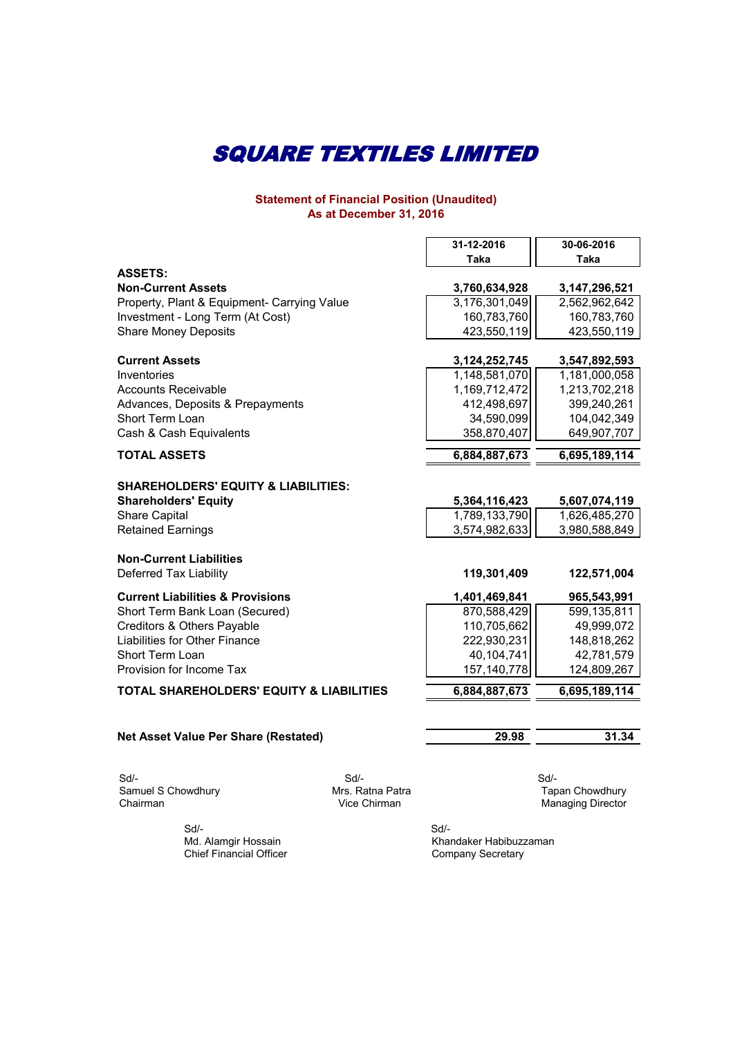#### **Statement of Financial Position (Unaudited) As at December 31, 2016**

|                                                     | 31-12-2016       | 30-06-2016    |
|-----------------------------------------------------|------------------|---------------|
|                                                     | Taka             | Taka          |
| <b>ASSETS:</b>                                      |                  |               |
| <b>Non-Current Assets</b>                           | 3,760,634,928    | 3,147,296,521 |
| Property, Plant & Equipment- Carrying Value         | 3,176,301,049    | 2,562,962,642 |
| Investment - Long Term (At Cost)                    | 160,783,760      | 160,783,760   |
| <b>Share Money Deposits</b>                         | 423,550,119      | 423,550,119   |
| <b>Current Assets</b>                               | 3, 124, 252, 745 | 3,547,892,593 |
| Inventories                                         | 1,148,581,070    | 1,181,000,058 |
| <b>Accounts Receivable</b>                          | 1,169,712,472    | 1,213,702,218 |
| Advances, Deposits & Prepayments                    | 412,498,697      | 399,240,261   |
| Short Term Loan                                     | 34,590,099       | 104,042,349   |
| Cash & Cash Equivalents                             | 358,870,407      | 649,907,707   |
| <b>TOTAL ASSETS</b>                                 | 6,884,887,673    | 6,695,189,114 |
|                                                     |                  |               |
| <b>SHAREHOLDERS' EQUITY &amp; LIABILITIES:</b>      |                  |               |
| <b>Shareholders' Equity</b>                         | 5,364,116,423    | 5,607,074,119 |
| <b>Share Capital</b>                                | 1,789,133,790    | 1,626,485,270 |
| <b>Retained Earnings</b>                            | 3,574,982,633    | 3,980,588,849 |
| <b>Non-Current Liabilities</b>                      |                  |               |
| Deferred Tax Liability                              | 119,301,409      | 122,571,004   |
|                                                     |                  |               |
| <b>Current Liabilities &amp; Provisions</b>         | 1,401,469,841    | 965,543,991   |
| Short Term Bank Loan (Secured)                      | 870,588,429      | 599,135,811   |
| Creditors & Others Payable                          | 110,705,662      | 49,999,072    |
| Liabilities for Other Finance                       | 222,930,231      | 148,818,262   |
| Short Term Loan                                     | 40,104,741       | 42,781,579    |
| Provision for Income Tax                            | 157,140,778      | 124,809,267   |
| <b>TOTAL SHAREHOLDERS' EQUITY &amp; LIABILITIES</b> | 6,884,887,673    | 6,695,189,114 |
|                                                     |                  |               |
| <b>Net Asset Value Per Share (Restated)</b>         | 29.98            | 31.34         |
|                                                     |                  |               |
| $Sd$ -<br>$Sd$ -                                    |                  | $Sd$ -        |

Samuel S Chowdhury **Mrs. Ratna Patra** Mrs. Ratna Patra Tapan Chowdhury Sur-<br>
Samuel S Chowdhury<br>
Chairman Managing Director<br>
Chairman Managing Director<br>
Chairman Managing Director

 Sd/- Md. Alamgir Hossain Chief Financial Officer Khandaker Habibuzzaman Company Secretary Sd/-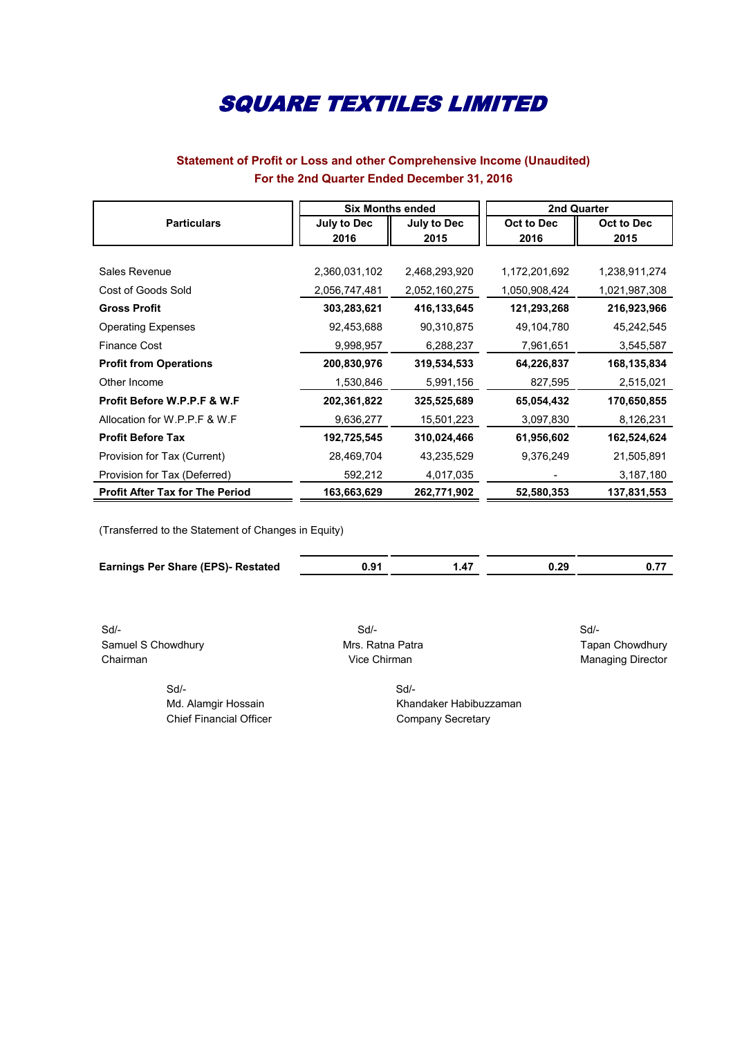### **Statement of Profit or Loss and other Comprehensive Income (Unaudited) For the 2nd Quarter Ended December 31, 2016**

|                                        | <b>Six Months ended</b> |               | 2nd Quarter       |               |
|----------------------------------------|-------------------------|---------------|-------------------|---------------|
| <b>Particulars</b>                     | <b>July to Dec</b>      | July to Dec   | <b>Oct to Dec</b> | Oct to Dec    |
|                                        | 2016                    | 2015          | 2016              | 2015          |
|                                        |                         |               |                   |               |
| Sales Revenue                          | 2,360,031,102           | 2,468,293,920 | 1,172,201,692     | 1,238,911,274 |
| Cost of Goods Sold                     | 2,056,747,481           | 2,052,160,275 | 1,050,908,424     | 1,021,987,308 |
| <b>Gross Profit</b>                    | 303,283,621             | 416,133,645   | 121,293,268       | 216,923,966   |
| <b>Operating Expenses</b>              | 92,453,688              | 90,310,875    | 49,104,780        | 45,242,545    |
| <b>Finance Cost</b>                    | 9,998,957               | 6,288,237     | 7,961,651         | 3,545,587     |
| <b>Profit from Operations</b>          | 200,830,976             | 319,534,533   | 64,226,837        | 168,135,834   |
| Other Income                           | 1,530,846               | 5,991,156     | 827,595           | 2,515,021     |
| Profit Before W.P.P.F & W.F            | 202,361,822             | 325,525,689   | 65,054,432        | 170,650,855   |
| Allocation for W.P.P.F & W.F.          | 9,636,277               | 15,501,223    | 3,097,830         | 8,126,231     |
| <b>Profit Before Tax</b>               | 192,725,545             | 310,024,466   | 61,956,602        | 162,524,624   |
| Provision for Tax (Current)            | 28,469,704              | 43,235,529    | 9,376,249         | 21,505,891    |
| Provision for Tax (Deferred)           | 592,212                 | 4,017,035     |                   | 3,187,180     |
| <b>Profit After Tax for The Period</b> | 163,663,629             | 262,771,902   | 52,580,353        | 137,831,553   |

(Transferred to the Statement of Changes in Equity)

| <b>Earnings Per Share (EPS)- Restated</b> | 0.91 | 0.29 |  |
|-------------------------------------------|------|------|--|

 Sd/- Sd/- Sd/- Samuel S Chowdhury **Mrs. Ratna Patra** Mrs. Ratna Patra Tapan Chowdhury Chairman **Chairman** Vice Chirman **Vice Chirman** Managing Director

Sd/- Sd/-

Md. Alamgir Hossain Khandaker Habibuzzaman Chief Financial Officer Chief Financial Officer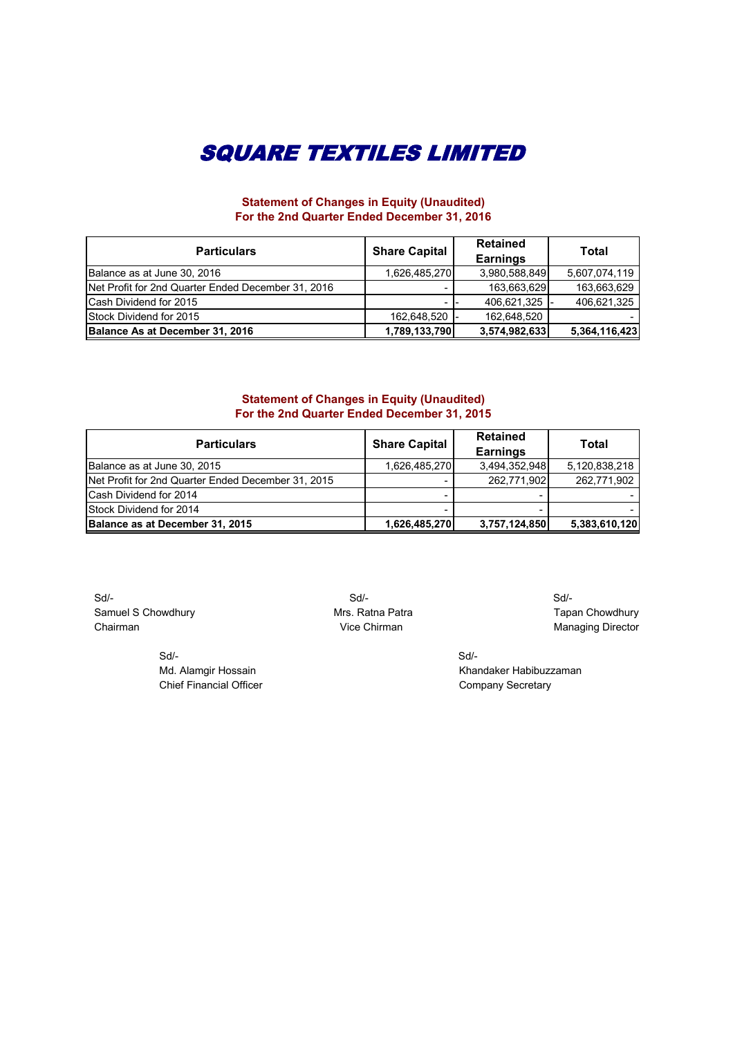### **Statement of Changes in Equity (Unaudited) For the 2nd Quarter Ended December 31, 2016**

| <b>Particulars</b>                                 | <b>Share Capital</b> | <b>Retained</b><br><b>Earnings</b> | <b>Total</b>  |
|----------------------------------------------------|----------------------|------------------------------------|---------------|
| Balance as at June 30, 2016                        | 1,626,485,270        | 3,980,588,849                      | 5,607,074,119 |
| Net Profit for 2nd Quarter Ended December 31, 2016 |                      | 163,663,629                        | 163,663,629   |
| <b>Cash Dividend for 2015</b>                      |                      | 406,621,325                        | 406,621,325   |
| Stock Dividend for 2015                            | 162,648,520          | 162.648.520                        |               |
| Balance As at December 31, 2016                    | 1,789,133,790        | 3,574,982,633                      | 5,364,116,423 |

#### **Statement of Changes in Equity (Unaudited) For the 2nd Quarter Ended December 31, 2015**

| <b>Particulars</b>                                 | <b>Share Capital</b> | <b>Retained</b><br><b>Earnings</b> | <b>Total</b>  |
|----------------------------------------------------|----------------------|------------------------------------|---------------|
| Balance as at June 30, 2015                        | 1,626,485,270        | 3,494,352,948                      | 5,120,838,218 |
| Net Profit for 2nd Quarter Ended December 31, 2015 |                      | 262,771,902                        | 262,771,902   |
| <b>ICash Dividend for 2014</b>                     |                      |                                    |               |
| <b>Stock Dividend for 2014</b>                     |                      |                                    |               |
| Balance as at December 31, 2015                    | 1,626,485,270        | 3,757,124,850                      | 5,383,610,120 |

 Sd/- Sd/- Sd/- Samuel S Chowdhury **Mrs. Ratna Patra** Mrs. Ratna Patra **Tapan Chowdhury** Chairman Chairman Chairman Chairman Chairman Managing Director

 Sd/- Sd/- Chief Financial Officer Chief Financial Officer Company Secretary

Md. Alamgir Hossain Khandaker Habibuzzaman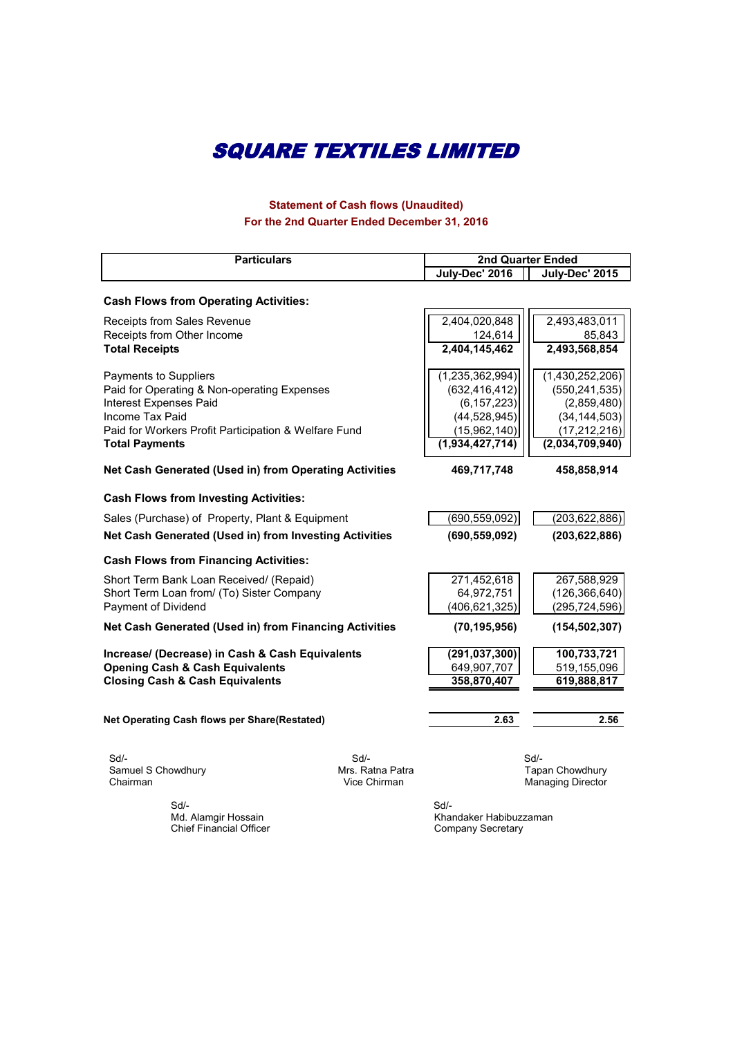## **Statement of Cash flows (Unaudited) For the 2nd Quarter Ended December 31, 2016**

| <b>Particulars</b>                                                                                                                                                                                        |                                        | <b>2nd Quarter Ended</b>                                                                                    |                                                                                                          |
|-----------------------------------------------------------------------------------------------------------------------------------------------------------------------------------------------------------|----------------------------------------|-------------------------------------------------------------------------------------------------------------|----------------------------------------------------------------------------------------------------------|
|                                                                                                                                                                                                           |                                        | July-Dec' 2016                                                                                              | July-Dec' 2015                                                                                           |
| <b>Cash Flows from Operating Activities:</b>                                                                                                                                                              |                                        |                                                                                                             |                                                                                                          |
| Receipts from Sales Revenue<br>Receipts from Other Income                                                                                                                                                 |                                        | 2,404,020,848<br>124,614                                                                                    | 2,493,483,011<br>85,843                                                                                  |
| <b>Total Receipts</b>                                                                                                                                                                                     |                                        | 2,404,145,462                                                                                               | 2,493,568,854                                                                                            |
| Payments to Suppliers<br>Paid for Operating & Non-operating Expenses<br><b>Interest Expenses Paid</b><br>Income Tax Paid<br>Paid for Workers Profit Participation & Welfare Fund<br><b>Total Payments</b> |                                        | (1, 235, 362, 994)<br>(632, 416, 412)<br>(6, 157, 223)<br>(44, 528, 945)<br>(15,962,140)<br>(1,934,427,714) | (1,430,252,206)<br>(550, 241, 535)<br>(2,859,480)<br>(34, 144, 503)<br>(17, 212, 216)<br>(2,034,709,940) |
| Net Cash Generated (Used in) from Operating Activities                                                                                                                                                    |                                        | 469,717,748                                                                                                 | 458,858,914                                                                                              |
| <b>Cash Flows from Investing Activities:</b>                                                                                                                                                              |                                        |                                                                                                             |                                                                                                          |
| Sales (Purchase) of Property, Plant & Equipment                                                                                                                                                           |                                        | (690, 559, 092)                                                                                             | (203, 622, 886)                                                                                          |
| Net Cash Generated (Used in) from Investing Activities                                                                                                                                                    |                                        | (690, 559, 092)                                                                                             | (203, 622, 886)                                                                                          |
| <b>Cash Flows from Financing Activities:</b>                                                                                                                                                              |                                        |                                                                                                             |                                                                                                          |
| Short Term Bank Loan Received/ (Repaid)<br>Short Term Loan from/ (To) Sister Company<br>Payment of Dividend                                                                                               |                                        | 271,452,618<br>64,972,751<br>(406, 621, 325)                                                                | 267,588,929<br>(126, 366, 640)<br>(295, 724, 596)                                                        |
| Net Cash Generated (Used in) from Financing Activities                                                                                                                                                    |                                        | (70, 195, 956)                                                                                              | (154, 502, 307)                                                                                          |
| Increase/ (Decrease) in Cash & Cash Equivalents<br><b>Opening Cash &amp; Cash Equivalents</b><br><b>Closing Cash &amp; Cash Equivalents</b>                                                               |                                        | (291, 037, 300)<br>649,907,707<br>358,870,407                                                               | 100,733,721<br>519,155,096<br>619,888,817                                                                |
| Net Operating Cash flows per Share(Restated)                                                                                                                                                              |                                        | 2.63                                                                                                        | 2.56                                                                                                     |
| Sd/-<br>Samuel S Chowdhury<br>Chairman                                                                                                                                                                    | Sd<br>Mrs. Ratna Patra<br>Vice Chirman |                                                                                                             | $Sd$ -<br>Tapan Chowdhury<br><b>Managing Director</b>                                                    |

 Sd/- Sd/- Chief Financial Officer Company Secretary Company Secretary

Umandaker Habibuzzaman<br>Company Secretary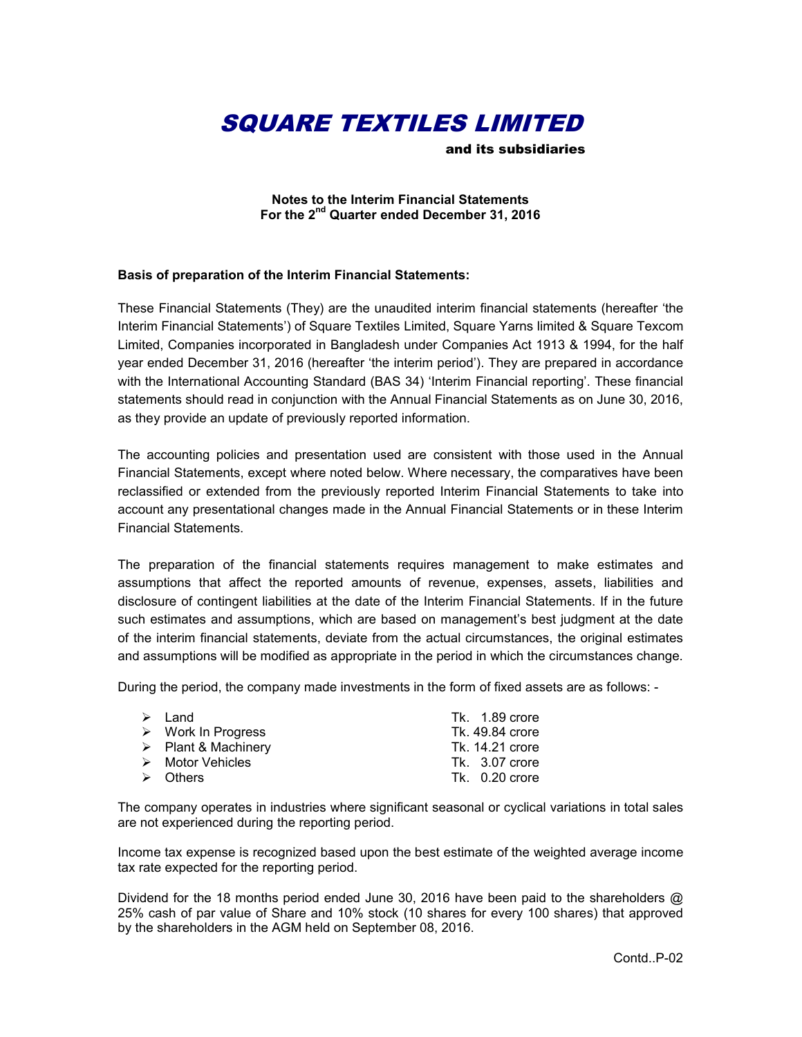and its subsidiaries

**Notes to the Interim Financial Statements For the 2nd Quarter ended December 31, 2016**

#### **Basis of preparation of the Interim Financial Statements:**

These Financial Statements (They) are the unaudited interim financial statements (hereafter 'the Interim Financial Statements') of Square Textiles Limited, Square Yarns limited & Square Texcom Limited, Companies incorporated in Bangladesh under Companies Act 1913 & 1994, for the half year ended December 31, 2016 (hereafter 'the interim period'). They are prepared in accordance with the International Accounting Standard (BAS 34) 'Interim Financial reporting'. These financial statements should read in conjunction with the Annual Financial Statements as on June 30, 2016, as they provide an update of previously reported information.

The accounting policies and presentation used are consistent with those used in the Annual Financial Statements, except where noted below. Where necessary, the comparatives have been reclassified or extended from the previously reported Interim Financial Statements to take into account any presentational changes made in the Annual Financial Statements or in these Interim Financial Statements.

The preparation of the financial statements requires management to make estimates and assumptions that affect the reported amounts of revenue, expenses, assets, liabilities and disclosure of contingent liabilities at the date of the Interim Financial Statements. If in the future such estimates and assumptions, which are based on management's best judgment at the date of the interim financial statements, deviate from the actual circumstances, the original estimates and assumptions will be modified as appropriate in the period in which the circumstances change.

During the period, the company made investments in the form of fixed assets are as follows: -

| $\triangleright$ Land              | Tk. $1.89$ crore |
|------------------------------------|------------------|
| $\triangleright$ Work In Progress  | Tk. 49.84 crore  |
| $\triangleright$ Plant & Machinery | Tk. 14.21 crore  |
| $\triangleright$ Motor Vehicles    | Tk. 3.07 crore   |
| $\triangleright$ Others            | $Tk. 0.20$ crore |
|                                    |                  |

The company operates in industries where significant seasonal or cyclical variations in total sales are not experienced during the reporting period.

Income tax expense is recognized based upon the best estimate of the weighted average income tax rate expected for the reporting period.

Dividend for the 18 months period ended June 30, 2016 have been paid to the shareholders @ 25% cash of par value of Share and 10% stock (10 shares for every 100 shares) that approved by the shareholders in the AGM held on September 08, 2016.